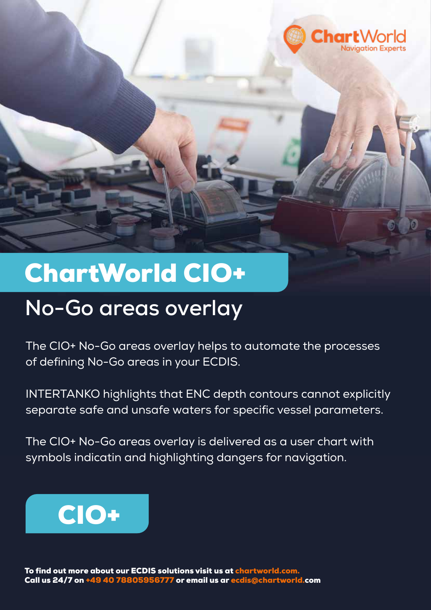

## ChartWorld CIO+

## **No-Go areas overlay**

The CIO+ No-Go areas overlay helps to automate the processes of defining No-Go areas in your ECDIS.

INTERTANKO highlights that ENC depth contours cannot explicitly separate safe and unsafe waters for specific vessel parameters.

The CIO+ No-Go areas overlay is delivered as a user chart with symbols indicatin and highlighting dangers for navigation.